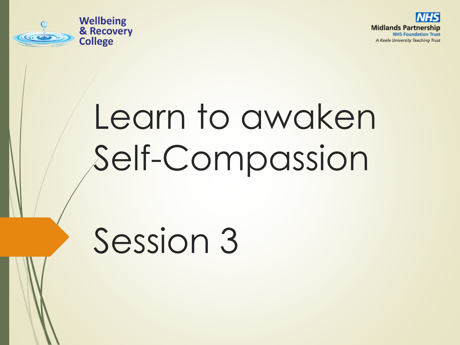



# Learn to awaken Self-Compassion

# Session 3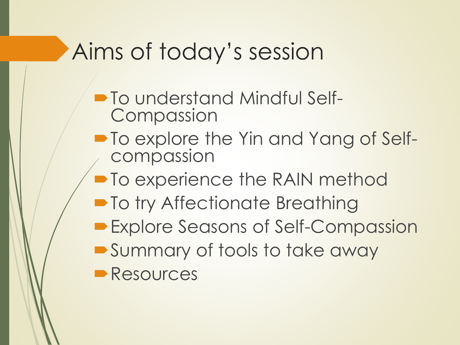# Aims of today's session

- $\blacksquare$  To understand Mindful Self-**Compassion**
- $\blacksquare$  To explore the Yin and Yang of Selfcompassion
- To experience the RAIN method
- To try Affectionate Breathing
- **Explore Seasons of Self-Compassion**
- Summary of tools to take away
- **Resources**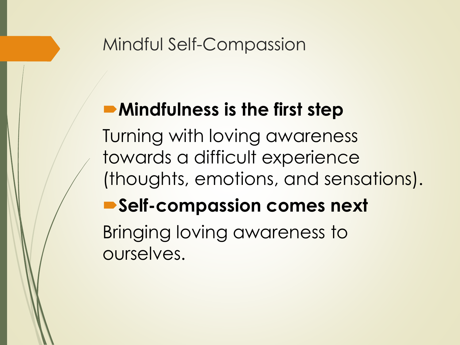#### Mindful Self-Compassion

### **Mindfulness is the first step**

Turning with loving awareness towards a difficult experience (thoughts, emotions, and sensations).

### **Self-compassion comes next**

Bringing loving awareness to ourselves.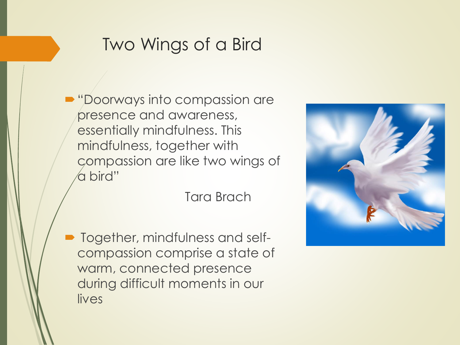#### Two Wings of a Bird

**Doorways into compassion are** presence and awareness, essentially mindfulness. This mindfulness, together with compassion are like two wings of a bird"

Tara Brach

 Together, mindfulness and selfcompassion comprise a state of warm, connected presence during difficult moments in our lives

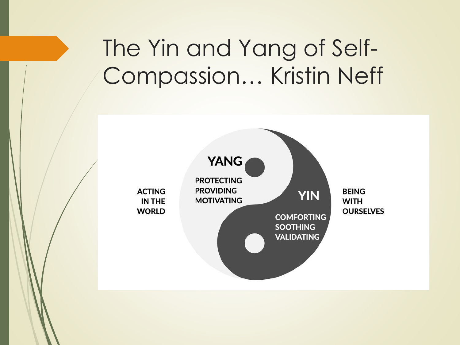# The Yin and Yang of Self-Compassion… Kristin Neff

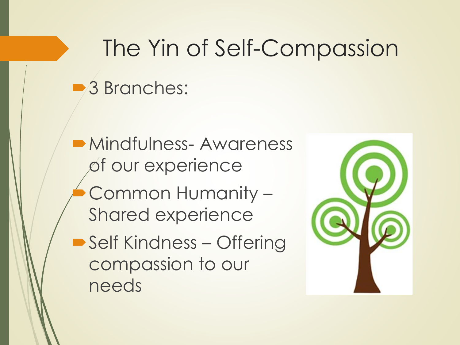# The Yin of Self-Compassion ■3 Branches:

**Mindfulness-Awareness** of our experience Common Humanity – Shared experience ■ Self Kindness – Offering compassion to our needs

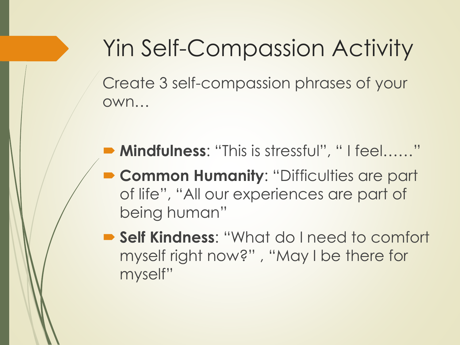Yin Self-Compassion Activity Create 3 self-compassion phrases of your own…

- Mindfulness: "This is stressful", " I feel......"
- **Common Humanity: "Difficulties are party** of life", "All our experiences are part of being human"
- **Self Kindness**: "What do I need to comfort myself right now?" , "May I be there for myself"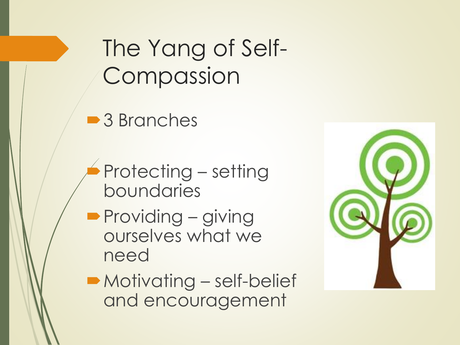# The Yang of Self-Compassion

■3 Branches

- Protecting setting boundaries
- **Providing giving** ourselves what we need



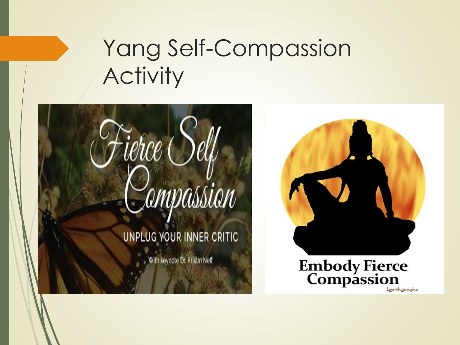# Yang Self-Compassion **Activity**





**Embody Fierce<br>Compassion** 

Learthgangha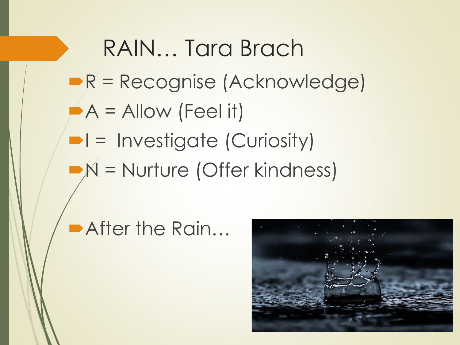RAIN… Tara Brach  $R$  = Recognise (Acknowledge)  $A =$  Allow (Feel it)  $\blacksquare$  = Investigate (Curiosity)  $N =$  Nurture (Offer kindness)

After the Rain...

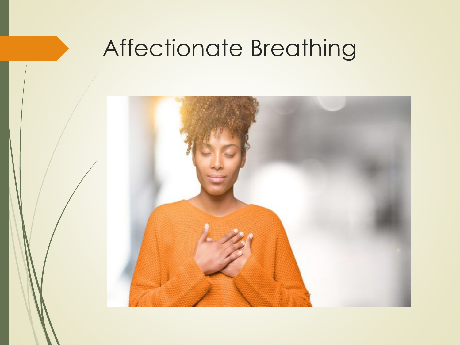# Affectionate Breathing

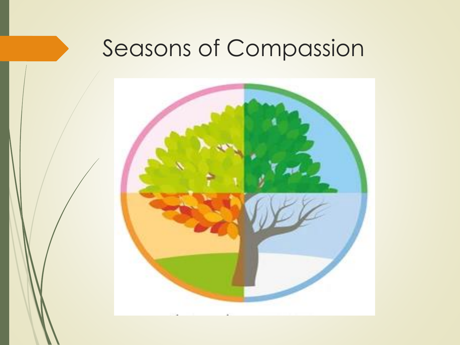# Seasons of Compassion

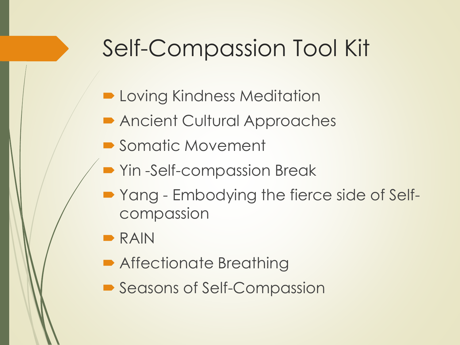# Self-Compassion Tool Kit

- **D** Loving Kindness Meditation
- Ancient Cultural Approaches
- Somatic Movement
- Yin -Self-compassion Break
- Yang Embodying the fierce side of Selfcompassion
- $RAN$
- **Affectionate Breathing**
- Seasons of Self-Compassion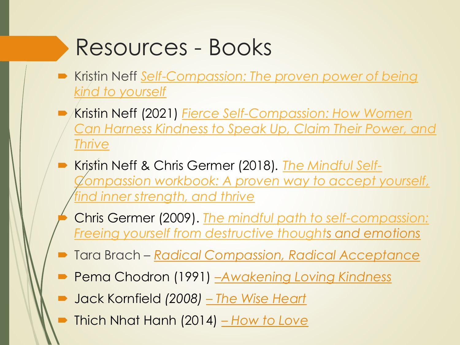# Resources - Books

- Kristin Neff *[Self-Compassion: The proven power of being](https://amzn.to/32bTI72)  kind to yourself*
- Kristin Neff (2021) *Fierce Self-Compassion: How Women [Can Harness Kindness to Speak Up, Claim Their Power, and](https://amzn.to/37LtOK8)  Thrive*
- Kristin Neff & Chris Germer (2018)*. The Mindful Self-[Compassion workbook: A proven way to accept yourself,](https://amzn.to/3a8gBMU)  find inner strength, and thrive*
	- Chris Germer (2009). *The mindful path to self-compassion: [Freeing yourself from destructive thoughts and emotions](https://amzn.to/3iKTGvQ)*
- Tara Brach *Radical Compassion, Radical Acceptance*
- Pema Chodron (1991) –*Awakening Loving Kindness*
- Jack Kornfield *(2008) – The Wise Heart*
- Thich Nhat Hanh (2014) *– How to Love*